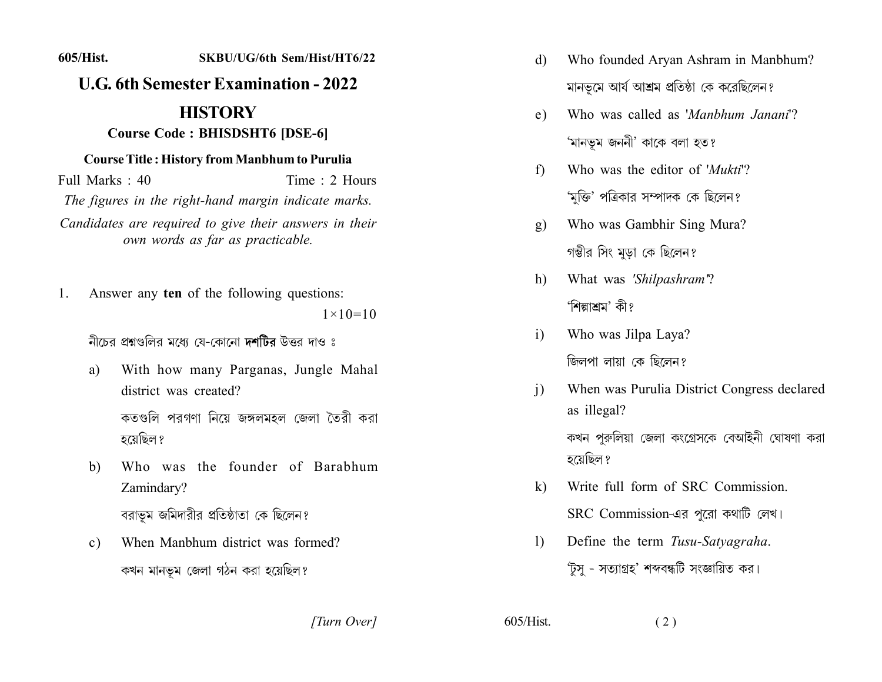## 605/Hist. SKBU/UG/6th Sem/Hist/HT6/22 **U.G. 6th Semester Examination - 2022 HISTORY Course Code: BHISDSHT6 [DSE-6] Course Title: History from Manbhum to Purulia** Full Marks : 40 Time: 2 Hours The figures in the right-hand margin indicate marks.

Candidates are required to give their answers in their own words as far as practicable.

Answer any ten of the following questions: 1.  $1 \times 10 = 10$ 

নীচের প্রশ্নগুলির মধ্যে যে-কোনো দশটির উত্তর দাও ঃ

- With how many Parganas, Jungle Mahal a) district was created? কতগুলি পরগণা নিয়ে জঙ্গলমহল জেলা তৈরী করা হয়েছিল ?
- Who was the founder of Barabhum  $b)$ Zamindary? বরাভূম জমিদারীর প্রতিষ্ঠাতা কে ছিলেন?
- When Manbhum district was formed?  $\mathbf{c}$ ) কখন মানভূম জেলা গঠন করা হয়েছিল?
- Who founded Aryan Ashram in Manbhum?  $\mathbf{d}$ মানভূমে আর্য আশ্রম প্রতিষ্ঠা কে করেছিলেন?
- Who was called as 'Manbhum Janani'?  $e)$ 'মানভূম জননী' কাকে বলা হত?
- Who was the editor of 'Mukti'?  $f$ 'মুক্তি' পত্রিকার সম্পাদক কে ছিলেন?
- Who was Gambhir Sing Mura?  $g)$ গম্ভীর সিং মুড়া কে ছিলেন?
- What was 'Shilpashram'? h) 'শিল্পাশ্রম' কী?
- Who was Jilpa Laya?  $\overline{1}$ জিলপা লায়া কে ছিলেন?
- When was Purulia District Congress declared  $\mathbf{i}$ as illegal? কখন পুরুলিয়া জেলা কংগ্রেসকে বেআইনী ঘোষণা করা হয়েছিল ?
- Write full form of SRC Commission.  $\bf k$ SRC Commission-এর পুরো কথাটি লেখ।
- Define the term Tusu-Satyagraha.  $\Gamma$ 'টুসু - সত্যাগ্রহ' শব্দবন্ধটি সংজ্ঞায়িত কর।

[Turn Over]

 $605/H$ ist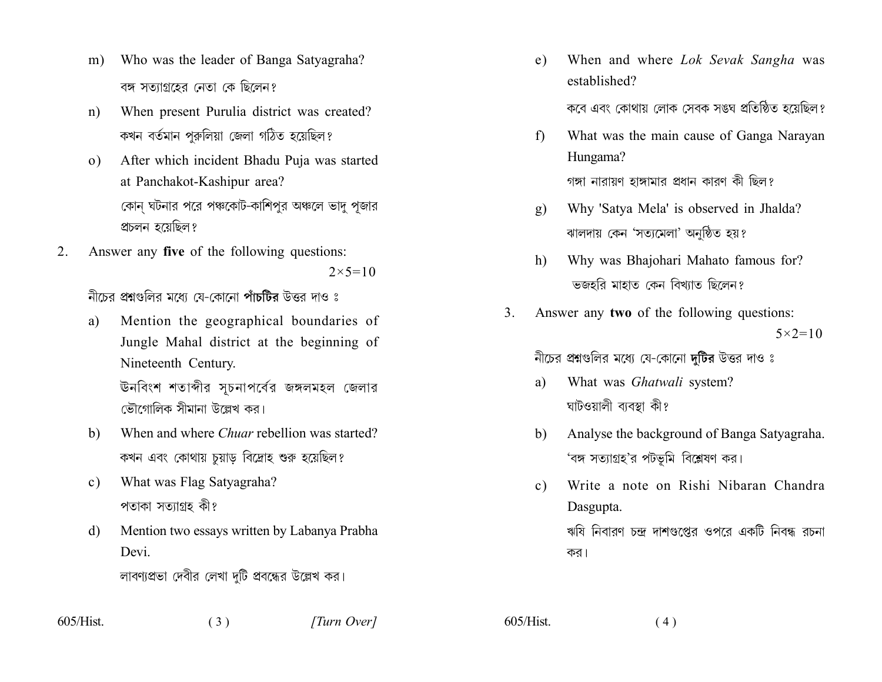- Who was the leader of Banga Satyagraha?  $m)$ বঙ্গ সত্যাগ্রহের নেতা কে ছিলেন?
- When present Purulia district was created?  $n)$ কখন বৰ্তমান পুরুলিয়া জেলা গঠিত হয়েছিল?
- After which incident Bhadu Puja was started  $(0)$ at Panchakot-Kashipur area? কোন ঘটনার পরে পঞ্চকোট-কাশিপর অঞ্চলে ভাদ পজার প্রচলন হয়েছিল?
- Answer any five of the following questions: 2.  $2 \times 5 = 10$

নীচের প্রশ্নগুলির মধ্যে যে-কোনো পাঁচটির উত্তর দাও ঃ

Mention the geographical boundaries of a) Jungle Mahal district at the beginning of Nineteenth Century.

> ঊনবিংশ শতাব্দীর সচনাপর্বের জঙ্গলমহল জেলার ভৌগোলিক সীমানা উল্লেখ কর।

- When and where *Chuar* rebellion was started? b) কখন এবং কোথায় চুয়াড় বিদ্রোহ শুরু হয়েছিল?
- What was Flag Satyagraha?  $c)$ পতাকা সত্যাগ্ৰহ কী?
- Mention two essays written by Labanya Prabha d) Devi

লাবণ্যপ্রভা দেবীর লেখা দুটি প্রবন্ধের উল্লেখ কর।

When and where *Lok Sevak Sangha* was  $e)$ established?

কবে এবং কোথায় লোক সেবক সঙ্ঘ প্রতিষ্ঠিত হয়েছিল?

- What was the main cause of Ganga Narayan  $\mathbf{f}$ Hungama? গঙ্গা নারায়ণ হাঙ্গামার প্রধান কারণ কী ছিল?
- Why 'Satya Mela' is observed in Jhalda?  $g)$ ঝালদায় কেন 'সত্যমেলা' অনুষ্ঠিত হয়?
- Why was Bhajohari Mahato famous for?  $h$ ভজহরি মাহাত কেন বিখ্যাত ছিলেন?
- Answer any two of the following questions: 3.  $5 \times 2 = 10$

নীচের প্রশ্নগুলির মধ্যে যে-কোনো দুটির উত্তর দাও ঃ

- What was Ghatwali system? a) ঘাটওয়ালী ব্যবস্থা কী?
- Analyse the background of Banga Satyagraha.  $h$ 'বঙ্গ সত্যাগ্রহ'র পটভূমি বিশ্লেষণ কর।
- Write a note on Rishi Nibaran Chandra  $c)$ Dasgupta.

ঋষি নিবারণ চন্দ্র দাশগুপ্তের ওপরে একটি নিবন্ধ রচনা কর।

 $605/Hist$ 

 $605/Hist$